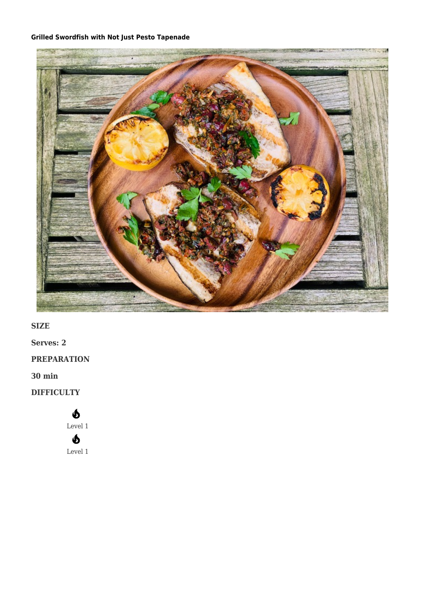#### **[Grilled Swordfish with Not Just Pesto Tapenade](https://afoodblog.notjust.co/2022/05/10/grilled-swordfish-with-not-just-pesto-tapenade/)**



**SIZE**

**Serves: 2**

**PREPARATION**

**30 min**

**DIFFICULTY**

## $\mathbf{\Phi}$

Level 1

# $\boldsymbol{\delta}$

Level 1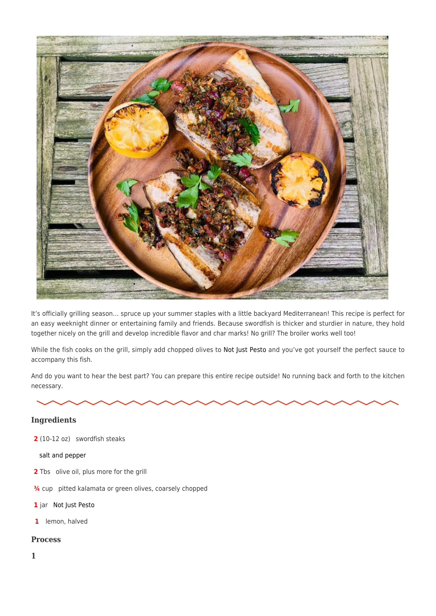

It's officially grilling season… spruce up your summer staples with a little backyard Mediterranean! This recipe is perfect for an easy weeknight dinner or entertaining family and friends. Because swordfish is thicker and sturdier in nature, they hold together nicely on the grill and develop incredible flavor and char marks! No grill? The broiler works well too!

While the fish cooks on the grill, simply add chopped olives to [Not Just Pesto a](https://notjust.co/products/not-just-pesto-3-pack)nd you've got yourself the perfect sauce to accompany this fish.

And do you want to hear the best part? You can prepare this entire recipe outside! No running back and forth to the kitchen necessary.

#### **Ingredients**

**2** (10-12 oz) swordfish steaks

[salt and pepper](https://notjust.co/products/not-just-pasta-sauce?variant=31482920271934)

- **2** Tbs olive oil, plus more for the grill
- **¾** cup pitted kalamata or green olives, coarsely chopped
- **1** jar [Not Just Pesto](https://notjust.co/products/not-just-pesto-3-pack)
- **1** lemon, halved

#### **Process**

**1**